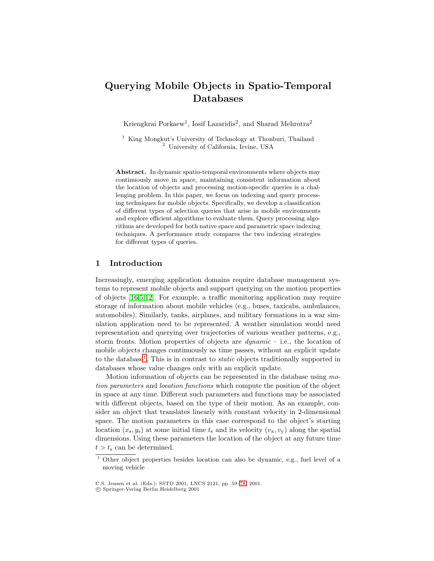# <span id="page-0-0"></span>**Querying Mobile Objects in Spatio-Temporal Databases**

Kriengkrai Porkaew<sup>1</sup>, Iosif Lazaridis<sup>2</sup>, and Sharad Mehrotra<sup>2</sup>

<sup>1</sup> King Mongkut's University of Technology at Thonburi, Thailand <sup>2</sup> University of California, Irvine, USA

**Abstract.** In dynamic spatio-temporal environments where objects may continuously move in space, maintaining consistent information about the location of objects and processing motion-specific queries is a challenging problem. In this paper, we focus on indexing and query processing techniques for mobile objects. Specifically, we develop a classification of different types of selection queries that arise in mobile environments and explore efficient algorithms to evaluate them. Query processing algorithms are developed for both native space and parametric space indexing techniques. A performance study compares the two indexing strategies for different types of queries.

### **1 Introduction**

Increasingly, emerging application domains require database management systems to represent mobile objects and support querying on the motion properties of objects [\[16,5,12\]](#page-18-0). For example, a traffic monitoring application may require storage of information about mobile vehicles (e.g., buses, taxicabs, ambulances, automobiles). Similarly, tanks, airplanes, and military formations in a war simulation application need to be represented. A weather simulation would need representation and querying over trajectories of various weather patterns, e.g., storm fronts. Motion properties of objects are  $dynamic - i.e.,$  the location of mobile objects changes continuously as time passes, without an explicit update to the database<sup>1</sup>. This is in contrast to *static* objects traditionally supported in databases whose value changes only with an explicit update.

Motion information of objects can be represented in the database using  $mo$ tion parameters and location functions which compute the position of the object in space at any time. Different such parameters and functions may be associated with different objects, based on the type of their motion. As an example, consider an object that translates linearly with constant velocity in 2-dimensional space. The motion parameters in this case correspond to the object's starting location  $(x_s, y_s)$  at some initial time  $t_s$  and its velocity  $(v_x, v_y)$  along the spatial dimensions. Using these parameters the location of the object at any future time  $t > t<sub>s</sub>$  can be determined.

<sup>1</sup> Other object properties besides location can also be dynamic, e.g., fuel level of a moving vehicle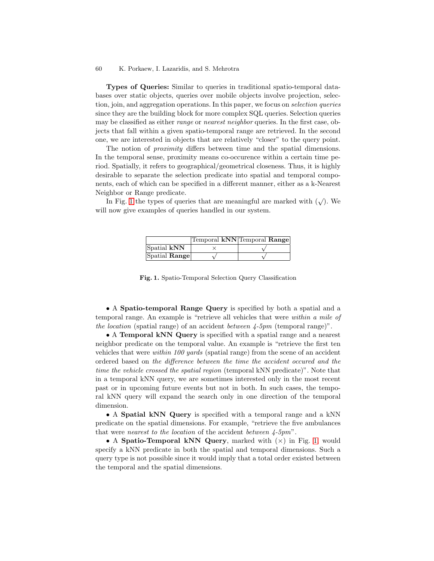**Types of Queries:** Similar to queries in traditional spatio-temporal databases over static objects, queries over mobile objects involve projection, selection, join, and aggregation operations. In this paper, we focus on *selection queries* since they are the building block for more complex SQL queries. Selection queries may be classified as either *range* or *nearest neighbor* queries. In the first case, objects that fall within a given spatio-temporal range are retrieved. In the second one, we are interested in objects that are relatively "closer" to the query point.

The notion of proximity differs between time and the spatial dimensions. In the temporal sense, proximity means co-occurence within a certain time period. Spatially, it refers to geographical/geometrical closeness. Thus, it is highly desirable to separate the selection predicate into spatial and temporal components, each of which can be specified in a different manner, either as a k-Nearest Neighbor or Range predicate.

In Fig. [1](#page-0-0) the types of queries that are meaningful are marked with  $(\sqrt{\ }$ . We will now give examples of queries handled in our system.

|               | Temporal kNN Temporal Range |
|---------------|-----------------------------|
| Spatial kNN   |                             |
| Spatial Range |                             |

**Fig. 1.** Spatio-Temporal Selection Query Classification

• A **Spatio-temporal Range Query** is specified by both a spatial and a temporal range. An example is "retrieve all vehicles that were within a mile of the location (spatial range) of an accident between  $\lambda$ -5pm (temporal range)".

• A **Temporal kNN Query** is specified with a spatial range and a nearest neighbor predicate on the temporal value. An example is "retrieve the first ten vehicles that were *within 100 yards* (spatial range) from the scene of an accident ordered based on the difference between the time the accident occured and the time the vehicle crossed the spatial region (temporal kNN predicate)". Note that in a temporal kNN query, we are sometimes interested only in the most recent past or in upcoming future events but not in both. In such cases, the temporal kNN query will expand the search only in one direction of the temporal dimension.

• A **Spatial kNN Query** is specified with a temporal range and a kNN predicate on the spatial dimensions. For example, "retrieve the five ambulances that were nearest to the location of the accident between  $4\n-5\text{pm}$ ".

• A **Spatio-Temporal kNN Query**, marked with (×) in Fig. [1,](#page-0-0) would specify a kNN predicate in both the spatial and temporal dimensions. Such a query type is not possible since it would imply that a total order existed between the temporal and the spatial dimensions.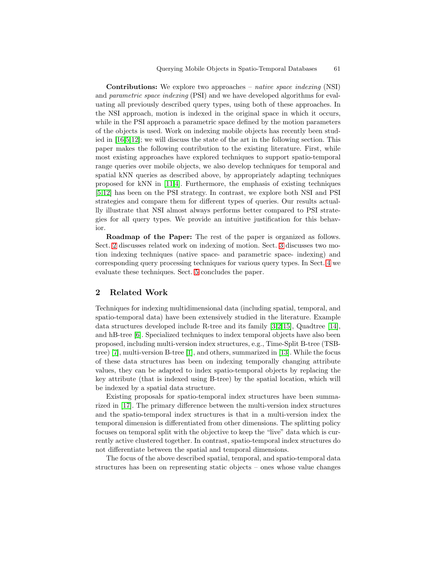**Contributions:** We explore two approaches – native space indexing (NSI) and *parametric space indexing* (PSI) and we have developed algorithms for evaluating all previously described query types, using both of these approaches. In the NSI approach, motion is indexed in the original space in which it occurs, while in the PSI approach a parametric space defined by the motion parameters of the objects is used. Work on indexing mobile objects has recently been studied in [\[16,5,12\]](#page-18-0); we will discuss the state of the art in the following section. This paper makes the following contribution to the existing literature. First, while most existing approaches have explored techniques to support spatio-temporal range queries over mobile objects, we also develop techniques for temporal and spatial kNN queries as described above, by appropriately adapting techniques proposed for kNN in [\[11,4\]](#page-18-0). Furthermore, the emphasis of existing techniques [\[5,12\]](#page-18-0) has been on the PSI strategy. In contrast, we explore both NSI and PSI strategies and compare them for different types of queries. Our results actuallly illustrate that NSI almost always performs better compared to PSI strategies for all query types. We provide an intuitive justification for this behavior.

**Roadmap of the Paper:** The rest of the paper is organized as follows. Sect. 2 discusses related work on indexing of motion. Sect. [3](#page-4-0) discusses two motion indexing techniques (native space- and parametric space- indexing) and corresponding query processing techniques for various query types. In Sect. [4](#page-14-0) we evaluate these techniques. Sect. [5](#page-17-0) concludes the paper.

#### **2 Related Work**

Techniques for indexing multidimensional data (including spatial, temporal, and spatio-temporal data) have been extensively studied in the literature. Example data structures developed include R-tree and its family [\[3,2,15\]](#page-18-0), Quadtree [\[14\]](#page-18-0), and hB-tree [\[6\]](#page-18-0). Specialized techniques to index temporal objects have also been proposed, including multi-version index structures, e.g., Time-Split B-tree (TSBtree) [\[7\]](#page-18-0), multi-version B-tree [\[1\]](#page-18-0), and others, summarized in [\[13\]](#page-18-0). While the focus of these data structures has been on indexing temporally changing attribute values, they can be adapted to index spatio-temporal objects by replacing the key attribute (that is indexed using B-tree) by the spatial location, which will be indexed by a spatial data structure.

Existing proposals for spatio-temporal index structures have been summarized in [\[17\]](#page-19-0). The primary difference between the multi-version index structures and the spatio-temporal index structures is that in a multi-version index the temporal dimension is differentiated from other dimensions. The splitting policy focuses on temporal split with the objective to keep the "live" data which is currently active clustered together. In contrast, spatio-temporal index structures do not differentiate between the spatial and temporal dimensions.

The focus of the above described spatial, temporal, and spatio-temporal data structures has been on representing static objects – ones whose value changes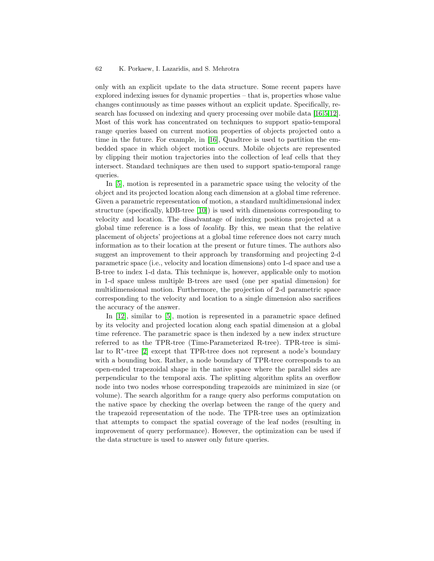only with an explicit update to the data structure. Some recent papers have explored indexing issues for dynamic properties – that is, properties whose value changes continuously as time passes without an explicit update. Specifically, research has focussed on indexing and query processing over mobile data [\[16,5,12\]](#page-18-0). Most of this work has concentrated on techniques to support spatio-temporal range queries based on current motion properties of objects projected onto a time in the future. For example, in [\[16\]](#page-18-0), Quadtree is used to partition the embedded space in which object motion occurs. Mobile objects are represented by clipping their motion trajectories into the collection of leaf cells that they intersect. Standard techniques are then used to support spatio-temporal range queries.

In [\[5\]](#page-18-0), motion is represented in a parametric space using the velocity of the object and its projected location along each dimension at a global time reference. Given a parametric representation of motion, a standard multidimensional index structure (specifically, kDB-tree [\[10\]](#page-18-0)) is used with dimensions corresponding to velocity and location. The disadvantage of indexing positions projected at a global time reference is a loss of locality. By this, we mean that the relative placement of objects' projections at a global time reference does not carry much information as to their location at the present or future times. The authors also suggest an improvement to their approach by transforming and projecting 2-d parametric space (i.e., velocity and location dimensions) onto 1-d space and use a B-tree to index 1-d data. This technique is, however, applicable only to motion in 1-d space unless multiple B-trees are used (one per spatial dimension) for multidimensional motion. Furthermore, the projection of 2-d parametric space corresponding to the velocity and location to a single dimension also sacrifices the accuracy of the answer.

In [\[12\]](#page-18-0), similar to [\[5\]](#page-18-0), motion is represented in a parametric space defined by its velocity and projected location along each spatial dimension at a global time reference. The parametric space is then indexed by a new index structure referred to as the TPR-tree (Time-Parameterized R-tree). TPR-tree is similar to R∗-tree [\[2\]](#page-18-0) except that TPR-tree does not represent a node's boundary with a bounding box. Rather, a node boundary of TPR-tree corresponds to an open-ended trapezoidal shape in the native space where the parallel sides are perpendicular to the temporal axis. The splitting algorithm splits an overflow node into two nodes whose corresponding trapezoids are minimized in size (or volume). The search algorithm for a range query also performs computation on the native space by checking the overlap between the range of the query and the trapezoid representation of the node. The TPR-tree uses an optimization that attempts to compact the spatial coverage of the leaf nodes (resulting in improvement of query performance). However, the optimization can be used if the data structure is used to answer only future queries.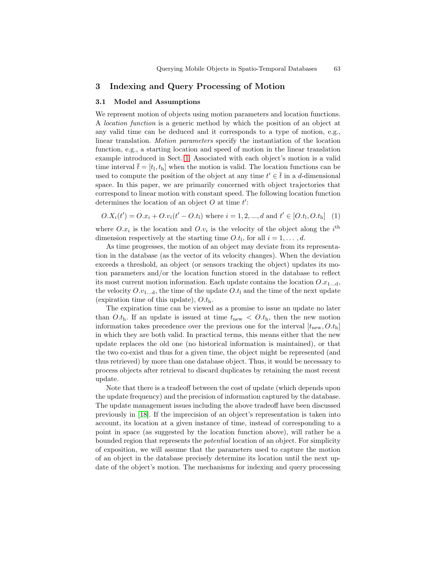## <span id="page-4-0"></span>**3 Indexing and Query Processing of Motion**

#### **3.1 Model and Assumptions**

We represent motion of objects using motion parameters and location functions. A location function is a generic method by which the position of an object at any valid time can be deduced and it corresponds to a type of motion, e.g., linear translation. Motion parameters specify the instantiation of the location function, e.g., a starting location and speed of motion in the linear translation example introduced in Sect. [1.](#page-0-0) Associated with each object's motion is a valid time interval  $\bar{t} = [t_1, t_2]$  when the motion is valid. The location functions can be used to compute the position of the object at any time  $t' \in \overline{t}$  in a d-dimensional space. In this paper, we are primarily concerned with object trajectories that correspond to linear motion with constant speed. The following location function determines the location of an object  $O$  at time  $t'$ :

$$
O.X_i(t') = O.x_i + O.v_i(t'-O.t_1) \text{ where } i = 1, 2, ..., d \text{ and } t' \in [O.t_1, O.t_1] \quad (1)
$$

where  $O.x_i$  is the location and  $O.v_i$  is the velocity of the object along the  $i^{\text{th}}$ dimension respectively at the starting time  $O.t_1$ , for all  $i = 1, \ldots, d$ .

As time progresses, the motion of an object may deviate from its representation in the database (as the vector of its velocity changes). When the deviation exceeds a threshold, an object (or sensors tracking the object) updates its motion parameters and/or the location function stored in the database to reflect its most current motion information. Each update contains the location  $O.x_{1...d}$ , the velocity  $O.v_{1...d}$ , the time of the update  $O.t_1$  and the time of the next update (expiration time of this update),  $O.t_{h}$ .

The expiration time can be viewed as a promise to issue an update no later than  $O_{t_{\rm h}}$ . If an update is issued at time  $t_{\rm new} < O_{t_{\rm h}}$ , then the new motion information takes precedence over the previous one for the interval  $[t_{\text{new}}, O.t_{\text{h}}]$ in which they are both valid. In practical terms, this means either that the new update replaces the old one (no historical information is maintained), or that the two co-exist and thus for a given time, the object might be represented (and thus retrieved) by more than one database object. Thus, it would be necessary to process objects after retrieval to discard duplicates by retaining the most recent update.

Note that there is a tradeoff between the cost of update (which depends upon the update frequency) and the precision of information captured by the database. The update management issues including the above tradeoff have been discussed previously in [\[18\]](#page-19-0). If the imprecision of an object's representation is taken into account, its location at a given instance of time, instead of corresponding to a point in space (as suggested by the location function above), will rather be a bounded region that represents the potential location of an object. For simplicity of exposition, we will assume that the parameters used to capture the motion of an object in the database precisely determine its location until the next update of the object's motion. The mechanisms for indexing and query processing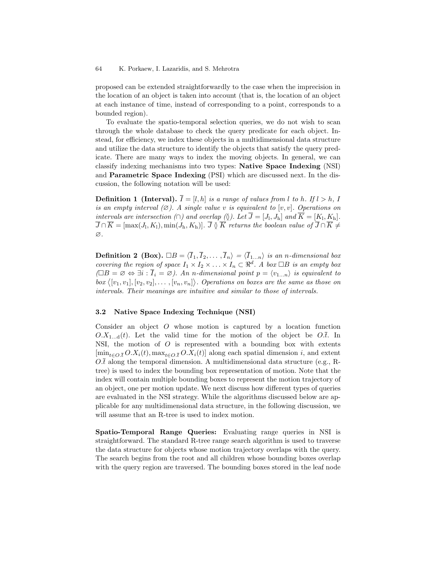proposed can be extended straightforwardly to the case when the imprecision in the location of an object is taken into account (that is, the location of an object at each instance of time, instead of corresponding to a point, corresponds to a bounded region).

To evaluate the spatio-temporal selection queries, we do not wish to scan through the whole database to check the query predicate for each object. Instead, for efficiency, we index these objects in a multidimensional data structure and utilize the data structure to identify the objects that satisfy the query predicate. There are many ways to index the moving objects. In general, we can classify indexing mechanisms into two types: **Native Space Indexing** (NSI) and **Parametric Space Indexing** (PSI) which are discussed next. In the discussion, the following notation will be used:

**Definition 1 (Interval).**  $\overline{I} = [l, h]$  is a range of values from l to h. If  $l > h$ , I is an empty interval  $(\emptyset)$ . A single value v is equivalent to  $[v, v]$ . Operations on intervals are intersection ( $\cap$ ) and overlap ( $\emptyset$ ). Let  $\overline{J} = [J_1, J_h]$  and  $\overline{K} = [K_1, K_h]$ .  $\overline{J} \cap \overline{K} = [\max(J_1, K_1), \min(J_1, K_1)].$   $\overline{J} \between \overline{K}$  returns the boolean value of  $\overline{J} \cap \overline{K} \neq \overline{K}$ ∅.

**Definition 2 (Box).**  $\Box B = \langle \overline{I}_1, \overline{I}_2, \ldots, \overline{I}_n \rangle = \langle \overline{I}_{1...n} \rangle$  is an n-dimensional box covering the region of space  $I_1 \times I_2 \times \ldots \times I_n \subset \mathbb{R}^d$ . A box  $\Box B$  is an empty box  $(\Box B = \emptyset \Leftrightarrow \exists i : \overline{I}_i = \emptyset)$ . An n-dimensional point  $p = \langle v_{1...n} \rangle$  is equivalent to  $\mathit{box} \langle [v_1, v_1], [v_2, v_2], \ldots, [v_n, v_n] \rangle$ . Operations on boxes are the same as those on intervals. Their meanings are intuitive and similar to those of intervals.

#### **3.2 Native Space Indexing Technique (NSI)**

Consider an object  $O$  whose motion is captured by a location function  $O.X_{1-d}(t)$ . Let the valid time for the motion of the object be O.t. In NSI, the motion of  $O$  is represented with a bounding box with extents  $[\min_{t \in O_t \bar{t}} O.X_i(t)]$ , max $\max_{t \in O_t \bar{t}} O.X_i(t)]$  along each spatial dimension i, and extent  $O.\bar{t}$  along the temporal dimension. A multidimensional data structure (e.g., Rtree) is used to index the bounding box representation of motion. Note that the index will contain multiple bounding boxes to represent the motion trajectory of an object, one per motion update. We next discuss how different types of queries are evaluated in the NSI strategy. While the algorithms discussed below are applicable for any multidimensional data structure, in the following discussion, we will assume that an R-tree is used to index motion.

**Spatio-Temporal Range Queries:** Evaluating range queries in NSI is straightforward. The standard R-tree range search algorithm is used to traverse the data structure for objects whose motion trajectory overlaps with the query. The search begins from the root and all children whose bounding boxes overlap with the query region are traversed. The bounding boxes stored in the leaf node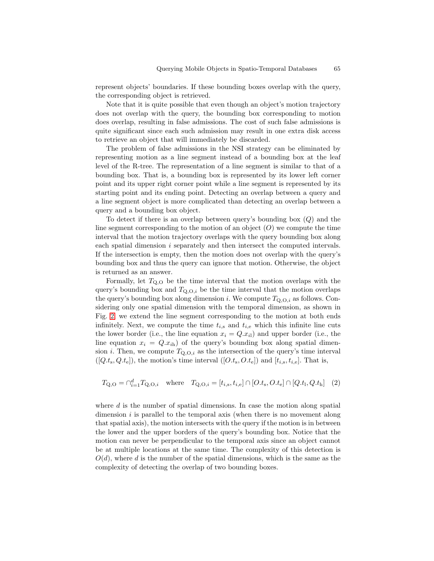represent objects' boundaries. If these bounding boxes overlap with the query, the corresponding object is retrieved.

Note that it is quite possible that even though an object's motion trajectory does not overlap with the query, the bounding box corresponding to motion does overlap, resulting in false admissions. The cost of such false admissions is quite significant since each such admission may result in one extra disk access to retrieve an object that will immediately be discarded.

The problem of false admissions in the NSI strategy can be eliminated by representing motion as a line segment instead of a bounding box at the leaf level of the R-tree. The representation of a line segment is similar to that of a bounding box. That is, a bounding box is represented by its lower left corner point and its upper right corner point while a line segment is represented by its starting point and its ending point. Detecting an overlap between a query and a line segment object is more complicated than detecting an overlap between a query and a bounding box object.

To detect if there is an overlap between query's bounding box  $(Q)$  and the line segment corresponding to the motion of an object  $(O)$  we compute the time interval that the motion trajectory overlaps with the query bounding box along each spatial dimension i separately and then intersect the computed intervals. If the intersection is empty, then the motion does not overlap with the query's bounding box and thus the query can ignore that motion. Otherwise, the object is returned as an answer.

Formally, let  $T_{Q,O}$  be the time interval that the motion overlaps with the query's bounding box and  $T_{\text{Q},\text{Q},i}$  be the time interval that the motion overlaps the query's bounding box along dimension i. We compute  $T_{Q,Q,i}$  as follows. Considering only one spatial dimension with the temporal dimension, as shown in Fig. [2,](#page-7-0) we extend the line segment corresponding to the motion at both ends infinitely. Next, we compute the time  $t_{i,s}$  and  $t_{i,e}$  which this infinite line cuts the lower border (i.e., the line equation  $x_i = Q.x_{i1}$ ) and upper border (i.e., the line equation  $x_i = Q.x_{i}$  of the query's bounding box along spatial dimension *i*. Then, we compute  $T_{Q,O,i}$  as the intersection of the query's time interval  $([Q.t_s, Q.t_e]),$  the motion's time interval  $([O.t_s, O.t_e])$  and  $[t_{i,s}, t_{i,e}].$  That is,

$$
T_{\mathbf{Q},\mathbf{O}} = \bigcap_{i=1}^{d} T_{\mathbf{Q},\mathbf{O},i} \quad \text{where} \quad T_{\mathbf{Q},\mathbf{O},i} = [t_{i,s}, t_{i,e}] \cap [O.t_s, O.t_e] \cap [Q.t_1, Q.t_h] \quad (2)
$$

where  $d$  is the number of spatial dimensions. In case the motion along spatial dimension  $i$  is parallel to the temporal axis (when there is no movement along that spatial axis), the motion intersects with the query if the motion is in between the lower and the upper borders of the query's bounding box. Notice that the motion can never be perpendicular to the temporal axis since an object cannot be at multiple locations at the same time. The complexity of this detection is  $O(d)$ , where d is the number of the spatial dimensions, which is the same as the complexity of detecting the overlap of two bounding boxes.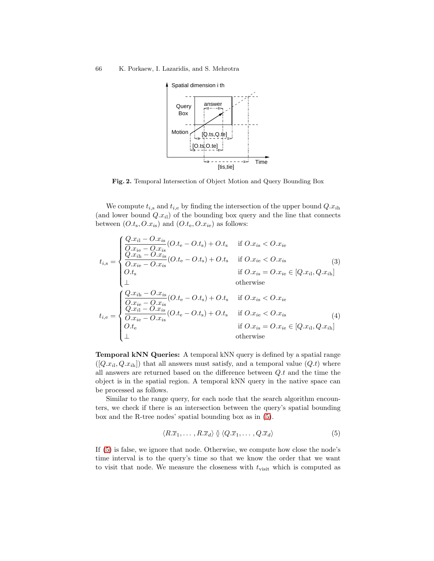<span id="page-7-0"></span>

**Fig. 2.** Temporal Intersection of Object Motion and Query Bounding Box

We compute  $t_{i,s}$  and  $t_{i,e}$  by finding the intersection of the upper bound  $Q.x_{i,h}$ (and lower bound  $Q.x_{i1}$ ) of the bounding box query and the line that connects between  $(O.t_s, O.x_{is})$  and  $(O.t_e, O.x_{ie})$  as follows:

$$
t_{i,s} = \begin{cases} \frac{Q.x_{i1} - O.x_{is}}{O.x_{ie} - O.x_{is}}(O.t_{e} - O.t_{s}) + O.t_{s} & \text{if } O.x_{is} < O.x_{ie} \\ \frac{Q.x_{i1} - O.x_{is}}{O.x_{ie} - O.x_{is}}(O.t_{e} - O.t_{s}) + O.t_{s} & \text{if } O.x_{ie} < O.x_{is} \\ O.t_{s} & \text{if } O.x_{is} = O.x_{ie} \in [Q.x_{i1}, Q.x_{i1}] \\ \perp & \text{otherwise} \end{cases}
$$
\n
$$
t_{i,e} = \begin{cases} \frac{Q.x_{i1} - O.x_{is}}{O.x_{ie} - O.x_{is}}(O.t_{e} - O.t_{s}) + O.t_{s} & \text{if } O.x_{is} < O.x_{ie} \\ \frac{Q.x_{i1} - O.x_{is}}{O.x_{ie} - O.x_{is}}(O.t_{e} - O.t_{s}) + O.t_{s} & \text{if } O.x_{ie} < O.x_{is} \\ O.t_{e} & \text{if } O.x_{is} = O.x_{ie} \in [Q.x_{i1}, Q.x_{i1}] \\ \perp & \text{otherwise} \end{cases}
$$
\n
$$
t_{i,e} = \begin{cases} 0.5, & \text{if } O.x_{is} < O.x_{is} \\ O.t_{e} & \text{if } O.x_{is} = O.x_{is} \in [Q.x_{i1}, Q.x_{i1}] \\ \perp & \text{otherwise} \end{cases}
$$

**Temporal kNN Queries:** A temporal kNN query is defined by a spatial range  $([Q.x_{i}, Q.x_{i})]$  that all answers must satisfy, and a temporal value  $(Q.t)$  where all answers are returned based on the difference between  $Q.t$  and the time the object is in the spatial region. A temporal kNN query in the native space can be processed as follows.

Similar to the range query, for each node that the search algorithm encounters, we check if there is an intersection between the query's spatial bounding box and the R-tree nodes' spatial bounding box as in (5).

$$
\langle R.\overline{x}_1,\ldots,R.\overline{x}_d\rangle \langle Q.\overline{x}_1,\ldots,Q.\overline{x}_d\rangle \tag{5}
$$

If (5) is false, we ignore that node. Otherwise, we compute how close the node's time interval is to the query's time so that we know the order that we want to visit that node. We measure the closeness with  $t_{\text{visit}}$  which is computed as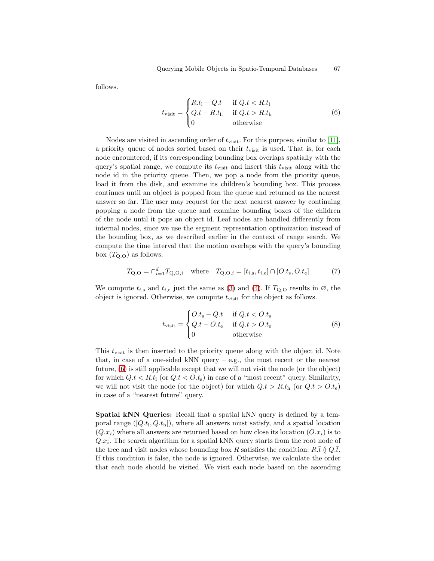follows.

$$
t_{\text{visit}} = \begin{cases} R.t_1 - Q.t & \text{if } Q.t < R.t_1 \\ Q.t - R.t_1 & \text{if } Q.t > R.t_1 \\ 0 & \text{otherwise} \end{cases} \tag{6}
$$

Nodes are visited in ascending order of  $t_{\text{visit}}$ . For this purpose, similar to [\[11\]](#page-18-0), a priority queue of nodes sorted based on their  $t_{\text{visit}}$  is used. That is, for each node encountered, if its corresponding bounding box overlaps spatially with the query's spatial range, we compute its  $t_{\text{visit}}$  and insert this  $t_{\text{visit}}$  along with the node id in the priority queue. Then, we pop a node from the priority queue, load it from the disk, and examine its children's bounding box. This process continues until an object is popped from the queue and returned as the nearest answer so far. The user may request for the next nearest answer by continuing popping a node from the queue and examine bounding boxes of the children of the node until it pops an object id. Leaf nodes are handled differently from internal nodes, since we use the segment representation optimization instead of the bounding box, as we described earlier in the context of range search. We compute the time interval that the motion overlaps with the query's bounding box  $(T_{Q,O})$  as follows.

$$
T_{\mathbf{Q},\mathbf{O}} = \bigcap_{i=1}^{d} T_{\mathbf{Q},\mathbf{O},i} \quad \text{where} \quad T_{\mathbf{Q},\mathbf{O},i} = [t_{i,s}, t_{i,e}] \cap [O.t_{s}, O.t_{e}] \tag{7}
$$

We compute  $t_{i,s}$  and  $t_{i,e}$  just the same as [\(3\)](#page-7-0) and [\(4\)](#page-7-0). If  $T_{Q,O}$  results in  $\varnothing$ , the object is ignored. Otherwise, we compute  $t_{\text{visit}}$  for the object as follows.

$$
t_{\text{visit}} = \begin{cases} O.t_{\text{s}} - Q.t & \text{if } Q.t < O.t_{\text{s}} \\ Q.t - O.t_{\text{e}} & \text{if } Q.t > O.t_{\text{e}} \\ 0 & \text{otherwise} \end{cases} \tag{8}
$$

This  $t_{\text{visit}}$  is then inserted to the priority queue along with the object id. Note that, in case of a one-sided kNN query – e.g., the most recent or the nearest future, (6) is still applicable except that we will not visit the node (or the object) for which  $Q_t \, \langle \, R_t \, \rangle$  (or  $Q_t \, \langle \, C_t \, \rangle$ ) in case of a "most recent" query. Similarity, we will not visit the node (or the object) for which  $Q.t > R.t_{h}$  (or  $Q.t > O.t_{e}$ ) in case of a "nearest future" query.

**Spatial kNN Queries:** Recall that a spatial kNN query is defined by a temporal range  $([Q.t<sub>1</sub>, Q.t<sub>h</sub>])$ , where all answers must satisfy, and a spatial location  $(Q.x_i)$  where all answers are returned based on how close its location  $(O.x_i)$  is to  $Q.x_i$ . The search algorithm for a spatial kNN query starts from the root node of the tree and visit nodes whose bounding box R satisfies the condition:  $R.\bar{t} \, \delta \, Q.\bar{t}$ . If this condition is false, the node is ignored. Otherwise, we calculate the order that each node should be visited. We visit each node based on the ascending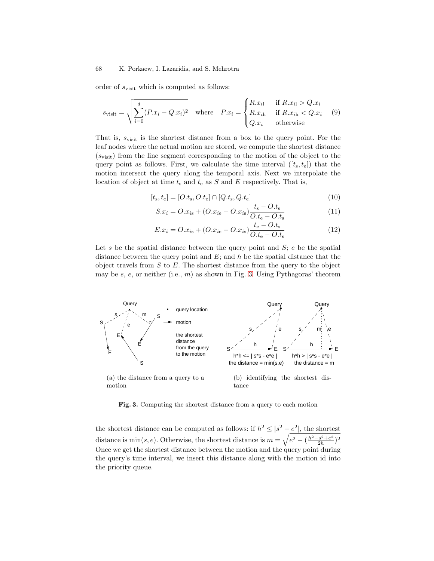order of  $s_{\text{visit}}$  which is computed as follows:

$$
s_{\text{visit}} = \sqrt{\sum_{i=0}^{d} (P.x_i - Q.x_i)^2} \quad \text{where} \quad P.x_i = \begin{cases} R.x_{i1} & \text{if } R.x_{i1} > Q.x_i \\ R.x_{i1} & \text{if } R.x_{i1} < Q.x_i \\ Q.x_i & \text{otherwise} \end{cases} \tag{9}
$$

That is,  $s_{\text{visit}}$  is the shortest distance from a box to the query point. For the leaf nodes where the actual motion are stored, we compute the shortest distance  $(s_{\text{visit}})$  from the line segment corresponding to the motion of the object to the query point as follows. First, we calculate the time interval  $([t_s, t_e])$  that the motion intersect the query along the temporal axis. Next we interpolate the location of object at time  $t_s$  and  $t_e$  as S and E respectively. That is,

$$
[t_{\rm s}, t_{\rm e}] = [O.t_{\rm s}, O.t_{\rm e}] \cap [Q.t_{\rm s}, Q.t_{\rm e}] \tag{10}
$$

$$
S.x_i = O.x_{is} + (O.x_{ie} - O.x_{is})\frac{t_s - O.t_s}{O.t_e - O.t_s}
$$
\n(11)

$$
E.x_i = O.x_{is} + (O.x_{ie} - O.x_{is})\frac{t_e - O.t_s}{O.t_e - O.t_s}
$$
\n(12)

Let s be the spatial distance between the query point and  $S$ ; e be the spatial distance between the query point and  $E$ ; and h be the spatial distance that the object travels from  $S$  to  $E$ . The shortest distance from the query to the object may be s, e, or neither (i.e.,  $m$ ) as shown in Fig. 3. Using Pythagoras' theorem



**Fig. 3.** Computing the shortest distance from a query to each motion

the shortest distance can be computed as follows: if  $h^2 \leq |s^2 - e^2|$ , the shortest distance is  $\min(s, e)$ . Otherwise, the shortest distance is  $m = \sqrt{e^2 - (\frac{h^2 - s^2 + e^2}{2h})^2}$ Once we get the shortest distance between the motion and the query point during the query's time interval, we insert this distance along with the motion id into the priority queue.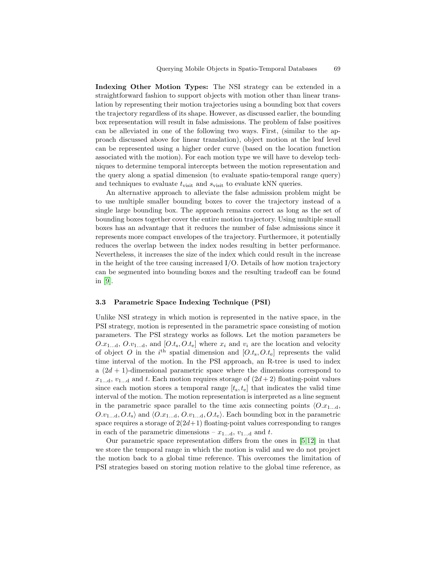**Indexing Other Motion Types:** The NSI strategy can be extended in a straightforward fashion to support objects with motion other than linear translation by representing their motion trajectories using a bounding box that covers the trajectory regardless of its shape. However, as discussed earlier, the bounding box representation will result in false admissions. The problem of false positives can be alleviated in one of the following two ways. First, (similar to the approach discussed above for linear translation), object motion at the leaf level can be represented using a higher order curve (based on the location function associated with the motion). For each motion type we will have to develop techniques to determine temporal intercepts between the motion representation and the query along a spatial dimension (to evaluate spatio-temporal range query) and techniques to evaluate  $t_{\text{visit}}$  and  $s_{\text{visit}}$  to evaluate kNN queries.

An alternative approach to alleviate the false admission problem might be to use multiple smaller bounding boxes to cover the trajectory instead of a single large bounding box. The approach remains correct as long as the set of bounding boxes together cover the entire motion trajectory. Using multiple small boxes has an advantage that it reduces the number of false admissions since it represents more compact envelopes of the trajectory. Furthermore, it potentially reduces the overlap between the index nodes resulting in better performance. Nevertheless, it increases the size of the index which could result in the increase in the height of the tree causing increased I/O. Details of how motion trajectory can be segmented into bounding boxes and the resulting tradeoff can be found in [\[9\]](#page-18-0).

#### **3.3 Parametric Space Indexing Technique (PSI)**

Unlike NSI strategy in which motion is represented in the native space, in the PSI strategy, motion is represented in the parametric space consisting of motion parameters. The PSI strategy works as follows. Let the motion parameters be  $O.x_{1...d}$ ,  $O.v_{1...d}$ , and  $[O.t_s, O.t_e]$  where  $x_i$  and  $v_i$  are the location and velocity of object O in the  $i^{\text{th}}$  spatial dimension and  $[O.t_s, O.t_e]$  represents the valid time interval of the motion. In the PSI approach, an R-tree is used to index a  $(2d + 1)$ -dimensional parametric space where the dimensions correspond to  $x_{1...d}$ ,  $v_{1...d}$  and t. Each motion requires storage of  $(2d+2)$  floating-point values since each motion stores a temporal range  $[t_s, t_e]$  that indicates the valid time interval of the motion. The motion representation is interpreted as a line segment in the parametric space parallel to the time axis connecting points  $(0.x_{1...d},$  $O.v_{1...d}, O.t_s$  and  $\langle O.x_{1...d}, O.v_{1...d}, O.t_e \rangle$ . Each bounding box in the parametric space requires a storage of  $2(2d+1)$  floating-point values corresponding to ranges in each of the parametric dimensions –  $x_{1...d}$ ,  $v_{1...d}$  and t.

Our parametric space representation differs from the ones in [\[5,12\]](#page-18-0) in that we store the temporal range in which the motion is valid and we do not project the motion back to a global time reference. This overcomes the limitation of PSI strategies based on storing motion relative to the global time reference, as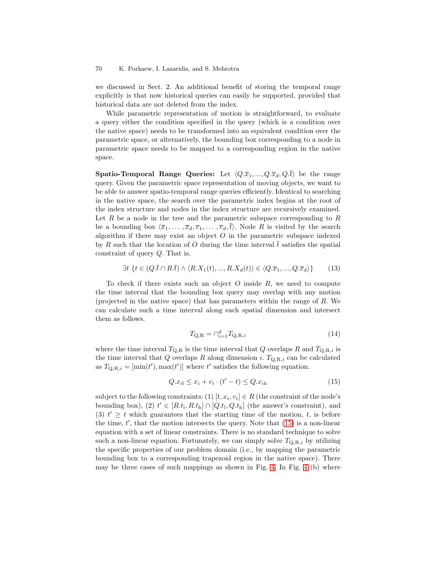<span id="page-11-0"></span>we discussed in Sect. 2. An additional benefit of storing the temporal range explicitly is that now historical queries can easily be supported, provided that historical data are not deleted from the index.

While parametric representation of motion is straightforward, to evaluate a query either the condition specified in the query (which is a condition over the native space) needs to be transformed into an equivalent condition over the parametric space, or alternatively, the bounding box corresponding to a node in parametric space needs to be mapped to a corresponding region in the native space.

**Spatio-Temporal Range Queries:** Let  $\langle Q, \overline{x}_1, ..., Q, \overline{x}_d, Q, \overline{t} \rangle$  be the range query. Given the parametric space representation of moving objects, we want to be able to answer spatio-temporal range queries efficiently. Identical to searching in the native space, the search over the parametric index begins at the root of the index structure and nodes in the index structure are recursively examined. Let  $R$  be a node in the tree and the parametric subspace corresponding to  $R$ be a bounding box  $\langle \overline{x}_1,\ldots,\overline{x}_d, \overline{v}_1,\ldots,\overline{v}_d,\overline{t}\rangle$ . Node R is visited by the search algorithm if there may exist an object  $O$  in the parametric subspace indexed by R such that the location of O during the time interval  $\bar{t}$  satisfies the spatial constraint of query Q. That is,

$$
\exists t \left\{ t \in (Q.\overline{t} \cap R.\overline{t}) \land \langle R.X_1(t), ..., R.X_d(t) \rangle \in \langle Q.\overline{x}_1, ..., Q.\overline{x}_d \rangle \right\} \tag{13}
$$

To check if there exists such an object  $O$  inside  $R$ , we need to compute the time interval that the bounding box query may overlap with any motion (projected in the native space) that has parameters within the range of R. We can calculate such a time interval along each spatial dimension and intersect them as follows.

$$
T_{\mathbf{Q},\mathbf{R}} = \bigcap_{i=1}^{d} T_{\mathbf{Q},\mathbf{R},i} \tag{14}
$$

where the time interval  $T_{Q,R}$  is the time interval that Q overlaps R and  $T_{Q,R,i}$  is the time interval that Q overlaps R along dimension i.  $T_{\text{Q,R},i}$  can be calculated as  $T_{\mathbf{Q},\mathbf{R},i} = [\min(t'), \max(t')]$  where t' satisfies the following equation.

$$
Q.x_{i1} \le x_i + v_i \cdot (t'-t) \le Q.x_{i1}
$$
\n
$$
(15)
$$

subject to the following constraints: (1)  $[t, x_i, v_i] \in R$  (the constraint of the node's bounding box), (2)  $t' \in [R.t_1, R.t_1] \cap [Q.t_1, Q.t_1]$  (the answer's constraint), and (3)  $t' \geq t$  which guarantees that the starting time of the motion, t, is before the time,  $t'$ , that the motion intersects the query. Note that  $(15)$  is a non-linear equation with a set of linear constraints. There is no standard technique to solve such a non-linear equation. Fortunately, we can simply solve  $T_{\text{O,R},i}$  by utilizing the specific properties of our problem domain (i.e., by mapping the parametric bounding box to a corresponding trapezoid region in the native space). There may be three cases of such mappings as shown in Fig. [4.](#page-12-0) In Fig. [4](#page-12-0) (b) where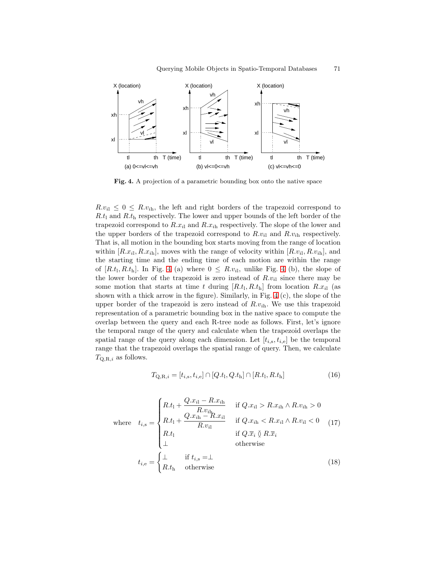<span id="page-12-0"></span>

**Fig. 4.** A projection of a parametric bounding box onto the native space

 $R.v_{i1} \leq 0 \leq R.v_{i1}$ , the left and right borders of the trapezoid correspond to  $R_{t_1}$  and  $R_{t_1}$  respectively. The lower and upper bounds of the left border of the trapezoid correspond to  $R.x_{i1}$  and  $R.x_{ih}$  respectively. The slope of the lower and the upper borders of the trapezoid correspond to  $R.v_{i}$  and  $R.v_{i}$  respectively. That is, all motion in the bounding box starts moving from the range of location within  $[R.x_{i1}, R.x_{i1}],$  moves with the range of velocity within  $[R.v_{i1}, R.v_{i1}],$  and the starting time and the ending time of each motion are within the range of  $[R.t_1, R.t_n]$ . In Fig. 4 (a) where  $0 \leq R.v_i$ , unlike Fig. 4 (b), the slope of the lower border of the trapezoid is zero instead of  $R.v_{i}$  since there may be some motion that starts at time t during  $[R.t_1, R.t_n]$  from location  $R.x_{i1}$  (as shown with a thick arrow in the figure). Similarly, in Fig. 4 (c), the slope of the upper border of the trapezoid is zero instead of  $R.v_{ih}$ . We use this trapezoid representation of a parametric bounding box in the native space to compute the overlap between the query and each R-tree node as follows. First, let's ignore the temporal range of the query and calculate when the trapezoid overlaps the spatial range of the query along each dimension. Let  $[t_{i,s}, t_{i,e}]$  be the temporal range that the trapezoid overlaps the spatial range of query. Then, we calculate  $T_{\text{O,R},i}$  as follows.

$$
T_{\mathbf{Q},\mathbf{R},i} = [t_{i,s}, t_{i,e}] \cap [Q.t_1, Q.t_h] \cap [R.t_1, R.t_h]
$$
\n(16)

$$
\text{where} \quad t_{i,s} = \begin{cases} R.t_1 + \frac{Q.x_{i1} - R.x_{ih}}{R.v_{ih}} & \text{if } Q.x_{i1} > R.x_{ih} \land R.v_{ih} > 0\\ R.t_1 + \frac{Q.x_{ih} - R.x_{i1}}{R.v_{i1}} & \text{if } Q.x_{ih} < R.x_{i1} \land R.v_{i1} < 0\\ R.t_1 & \text{if } Q.\overline{x}_i \between R.\overline{x}_i\\ \perp & \text{otherwise} \end{cases} \tag{17}
$$
\n
$$
t_{i,e} = \begin{cases} \perp & \text{if } t_{i,s} = \perp\\ R.t_h & \text{otherwise} \end{cases} \tag{18}
$$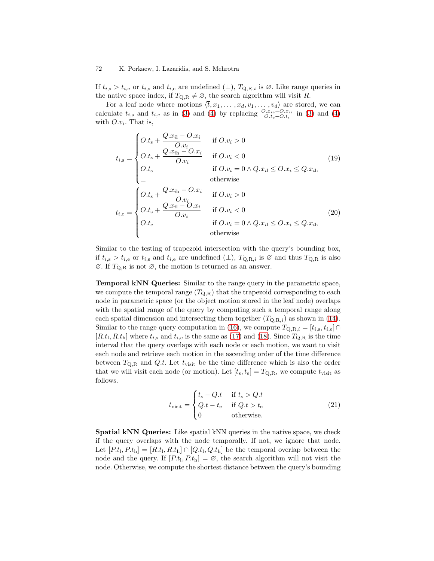If  $t_{i,s} > t_{i,e}$  or  $t_{i,s}$  and  $t_{i,e}$  are undefined  $(\perp)$ ,  $T_{Q,R,i}$  is  $\varnothing$ . Like range queries in the native space index, if  $T_{Q,R} \neq \emptyset$ , the search algorithm will visit R.

For a leaf node where motions  $\langle \overline{t}, x_1, \ldots, x_d, v_1, \ldots, v_d \rangle$  are stored, we can calculate  $t_{i,s}$  and  $t_{i,e}$  as in [\(3\)](#page-7-0) and [\(4\)](#page-7-0) by replacing  $\frac{O.x_{ie}-O.x_{is}}{O.t_{e}-O.t_{s}}$  in (3) and (4) with  $O.v_i$ . That is,

$$
t_{i,s} = \begin{cases} O.t_s + \frac{Q.x_{i1} - O.x_i}{O.v_i} & \text{if } O.v_i > 0\\ O.t_s + \frac{Q.x_{i1} - O.x_i}{O.v_i} & \text{if } O.v_i < 0\\ O.t_s & \text{if } O.v_i = 0 \land Q.x_{i1} \le O.x_i \le Q.x_{i1}\\ \perp & \text{otherwise}\\ \end{cases}
$$
\n
$$
t_{i,e} = \begin{cases} O.t_s + \frac{Q.x_{i1} - O.x_i}{O.v_i} & \text{if } O.v_i > 0\\ O.t_s + \frac{Q.x_{i1} - O.x_i}{O.v_i} & \text{if } O.v_i < 0\\ O.t_s & \text{if } O.v_i < 0\\ O.t_e & \text{if } O.v_i = 0 \land Q.x_{i1} \le O.x_i \le Q.x_{i1}\\ \perp & \text{otherwise} \end{cases}
$$
\n
$$
(20)
$$

Similar to the testing of trapezoid intersection with the query's bounding box, if  $t_{i,s} > t_{i,e}$  or  $t_{i,s}$  and  $t_{i,e}$  are undefined  $(\perp)$ ,  $T_{\text{Q,R},i}$  is  $\varnothing$  and thus  $T_{\text{Q,R}}$  is also  $\varnothing$ . If  $T_{\mathrm{Q},\mathrm{R}}$  is not  $\varnothing$ , the motion is returned as an answer.

**Temporal kNN Queries:** Similar to the range query in the parametric space, we compute the temporal range  $(T_{Q,R})$  that the trapezoid corresponding to each node in parametric space (or the object motion stored in the leaf node) overlaps with the spatial range of the query by computing such a temporal range along each spatial dimension and intersecting them together  $(T_{Q,R,i})$  as shown in [\(14\)](#page-11-0). Similar to the range query computation in [\(16\)](#page-12-0), we compute  $T_{\text{Q,R},i} = [t_{i,s}, t_{i,e}] \cap$  $[R.t_1, R.t_n]$  where  $t_{i,s}$  and  $t_{i,e}$  is the same as [\(17\)](#page-12-0) and [\(18\)](#page-12-0). Since  $T_{\text{Q},\text{R}}$  is the time interval that the query overlaps with each node or each motion, we want to visit each node and retrieve each motion in the ascending order of the time difference between  $T_{\text{Q,R}}$  and  $Q.t.$  Let  $t_{\text{visit}}$  be the time difference which is also the order that we will visit each node (or motion). Let  $[t_s, t_e] = T_{Q,R}$ , we compute  $t_{\text{visit}}$  as follows.

$$
t_{\text{visit}} = \begin{cases} t_{\text{s}} - Q.t & \text{if } t_{\text{s}} > Q.t \\ Q.t - t_{\text{e}} & \text{if } Q.t > t_{\text{e}} \\ 0 & \text{otherwise.} \end{cases} \tag{21}
$$

**Spatial kNN Queries:** Like spatial kNN queries in the native space, we check if the query overlaps with the node temporally. If not, we ignore that node. Let  $[P.t_1, P.t_n] = [R.t_1, R.t_n] \cap [Q.t_1, Q.t_n]$  be the temporal overlap between the node and the query. If  $[Pt_1, Pt_1] = \emptyset$ , the search algorithm will not visit the node. Otherwise, we compute the shortest distance between the query's bounding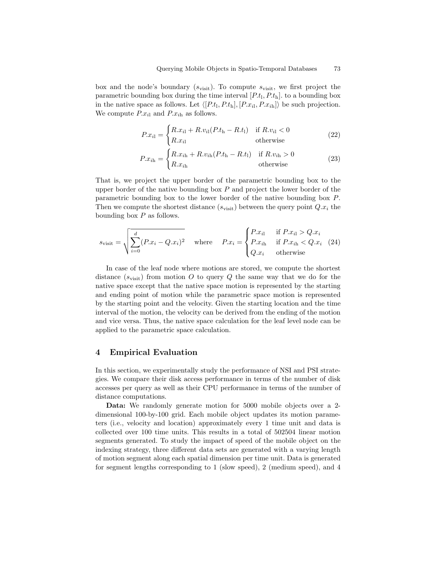<span id="page-14-0"></span>box and the node's boundary  $(s_{\text{visit}})$ . To compute  $s_{\text{visit}}$ , we first project the parametric bounding box during the time interval  $[P_t, t_h]$ , to a bounding box in the native space as follows. Let  $\langle [P.t_1, P.t_n], [P.x_{i1}, P.x_{i1}]\rangle$  be such projection. We compute  $P.x_{i1}$  and  $P.x_{ih}$  as follows.

$$
P.x_{i1} = \begin{cases} R.x_{i1} + R.v_{i1}(P.t_{h} - R.t_{l}) & \text{if } R.v_{i1} < 0\\ R.x_{i1} & \text{otherwise} \end{cases} \tag{22}
$$
\n
$$
P.x_{i1} = \begin{cases} R.x_{i1} + R.v_{i1}(P.t_{h} - R.t_{l}) & \text{if } R.v_{i1} > 0\\ R.x_{i1} & \text{otherwise} \end{cases} \tag{23}
$$

That is, we project the upper border of the parametric bounding box to the upper border of the native bounding box  $P$  and project the lower border of the parametric bounding box to the lower border of the native bounding box P. Then we compute the shortest distance  $(s_{\text{visit}})$  between the query point  $Q.x_i$  the bounding box  $P$  as follows.

$$
s_{\text{visit}} = \sqrt{\sum_{i=0}^{d} (P.x_i - Q.x_i)^2} \quad \text{where} \quad P.x_i = \begin{cases} P.x_{i1} & \text{if } P.x_{i1} > Q.x_i \\ P.x_{i1} & \text{if } P.x_{i1} < Q.x_i \\ Q.x_i & \text{otherwise} \end{cases} \tag{24}
$$

In case of the leaf node where motions are stored, we compute the shortest distance  $(s_{\text{visit}})$  from motion O to query Q the same way that we do for the native space except that the native space motion is represented by the starting and ending point of motion while the parametric space motion is represented by the starting point and the velocity. Given the starting location and the time interval of the motion, the velocity can be derived from the ending of the motion and vice versa. Thus, the native space calculation for the leaf level node can be applied to the parametric space calculation.

# **4 Empirical Evaluation**

In this section, we experimentally study the performance of NSI and PSI strategies. We compare their disk access performance in terms of the number of disk accesses per query as well as their CPU performance in terms of the number of distance computations.

**Data:** We randomly generate motion for 5000 mobile objects over a 2 dimensional 100-by-100 grid. Each mobile object updates its motion parameters (i.e., velocity and location) approximately every 1 time unit and data is collected over 100 time units. This results in a total of 502504 linear motion segments generated. To study the impact of speed of the mobile object on the indexing strategy, three different data sets are generated with a varying length of motion segment along each spatial dimension per time unit. Data is generated for segment lengths corresponding to 1 (slow speed), 2 (medium speed), and 4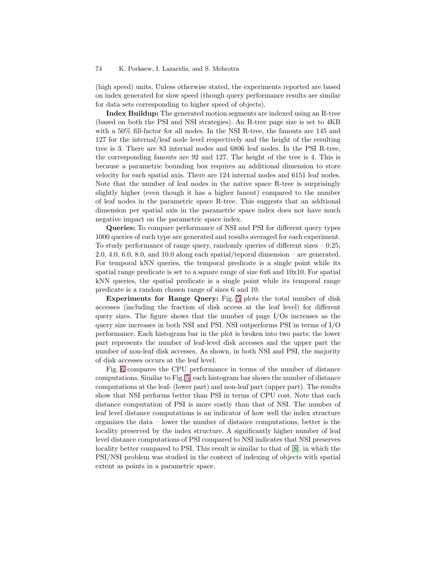(high speed) units. Unless otherwise stated, the experiments reported are based on index generated for slow speed (though query performance results are similar for data sets corresponding to higher speed of objects).

**Index Buildup:** The generated motion segments are indexed using an R-tree (based on both the PSI and NSI strategies). An R-tree page size is set to 4KB with a 50% fill-factor for all nodes. In the NSI R-tree, the fanouts are 145 and 127 for the internal/leaf node level respectively and the height of the resulting tree is 3. There are 83 internal nodes and 6806 leaf nodes. In the PSI R-tree, the corresponding fanouts are 92 and 127. The height of the tree is 4. This is because a parametric bounding box requires an additional dimension to store velocity for each spatial axis. There are 124 internal nodes and 6151 leaf nodes. Note that the number of leaf nodes in the native space R-tree is surprisingly slightly higher (even though it has a higher fanout) compared to the number of leaf nodes in the parametric space R-tree. This suggests that an addtional dimension per spatial axis in the parametric space index does not have much negative impact on the parametric space index.

**Queries:** To compare performance of NSI and PSI for different query types 1000 queries of each type are generated and results averaged for each experiment. To study performance of range query, randomly queries of different sizes  $-0.25$ , 2.0, 4.0, 6.0, 8.0, and 10.0 along each spatial/teporal dimension – are generated. For temporal kNN queries, the temporal predicate is a single point while its spatial range predicate is set to a square range of size 6x6 and 10x10. For spatial kNN queries, the spatial predicate is a single point while its temporal range predicate is a random chosen range of sizes 6 and 10.

**Experiments for Range Query:** Fig. [5](#page-16-0) plots the total number of disk accesses (including the fraction of disk access at the leaf level) for different query sizes. The figure shows that the number of page I/Os increases as the query size increases in both NSI and PSI. NSI outperforms PSI in terms of I/O performance. Each histogram bar in the plot is broken into two parts: the lower part represents the number of leaf-level disk accesses and the upper part the number of non-leaf disk accesses. As shown, in both NSI and PSI, the majority of disk accesses occurs at the leaf level.

Fig. [6](#page-16-0) compares the CPU performance in terms of the number of distance computations. Similar to Fig. [5,](#page-16-0) each histogram bar shows the number of distance computations at the leaf- (lower part) and non-leaf part (upper part). The results show that NSI performs better than PSI in terms of CPU cost. Note that each distance computation of PSI is more costly than that of NSI. The number of leaf level distance computations is an indicator of how well the index structure organizes the data – lower the number of distance computations, better is the locality preserved by the index structure. A significantly higher number of leaf level distance computations of PSI compared to NSI indicates that NSI preserves locality better compared to PSI. This result is similar to that of [\[8\]](#page-18-0), in which the PSI/NSI problem was studied in the context of indexing of objects with spatial extent as points in a parametric space.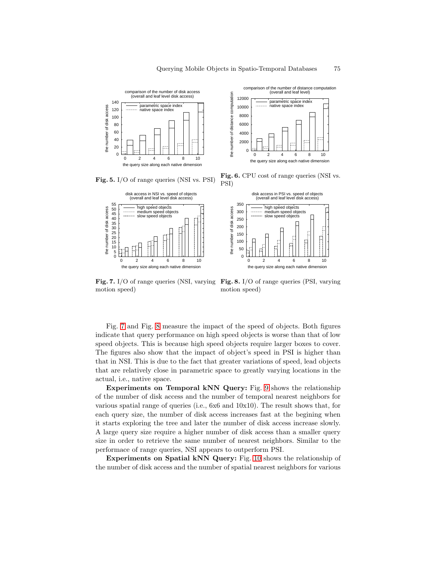<span id="page-16-0"></span>

**Fig. 5.** I/O of range queries (NSI vs. PSI)



motion speed)



**Fig. 6.** CPU cost of range queries (NSI vs. PSI)



**Fig. 7.** I/O of range queries (NSI, varying **Fig. 8.** I/O of range queries (PSI, varying motion speed)

Fig. 7 and Fig. 8 measure the impact of the speed of objects. Both figures indicate that query performance on high speed objects is worse than that of low speed objects. This is because high speed objects require larger boxes to cover. The figures also show that the impact of object's speed in PSI is higher than that in NSI. This is due to the fact that greater variations of speed, lead objects that are relatively close in parametric space to greatly varying locations in the actual, i.e., native space.

**Experiments on Temporal kNN Query:** Fig. [9](#page-17-0) shows the relationship of the number of disk access and the number of temporal nearest neighbors for various spatial range of queries (i.e., 6x6 and 10x10). The result shows that, for each query size, the number of disk access increases fast at the begining when it starts exploring the tree and later the number of disk access increase slowly. A large query size require a higher number of disk access than a smaller query size in order to retrieve the same number of nearest neighbors. Similar to the performace of range queries, NSI appears to outperform PSI.

**Experiments on Spatial kNN Query:** Fig. [10](#page-17-0) shows the relationship of the number of disk access and the number of spatial nearest neighbors for various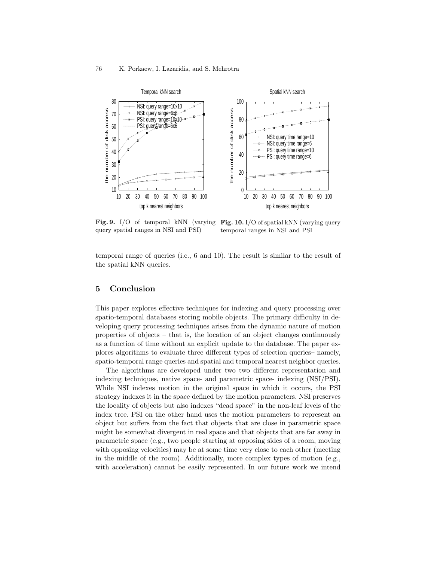<span id="page-17-0"></span>



**Fig. 9.** I/O of temporal kNN (varying query spatial ranges in NSI and PSI)

**Fig. 10.** I/O of spatial kNN (varying query temporal ranges in NSI and PSI

temporal range of queries (i.e., 6 and 10). The result is similar to the result of the spatial kNN queries.

# **5 Conclusion**

This paper explores effective techniques for indexing and query processing over spatio-temporal databases storing mobile objects. The primary difficulty in developing query processing techniques arises from the dynamic nature of motion properties of objects – that is, the location of an object changes continuously as a function of time without an explicit update to the database. The paper explores algorithms to evaluate three different types of selection queries– namely, spatio-temporal range queries and spatial and temporal nearest neighbor queries.

The algorithms are developed under two two different representation and indexing techniques, native space- and parametric space- indexing (NSI/PSI). While NSI indexes motion in the original space in which it occurs, the PSI strategy indexes it in the space defined by the motion parameters. NSI preserves the locality of objects but also indexes "dead space" in the non-leaf levels of the index tree. PSI on the other hand uses the motion parameters to represent an object but suffers from the fact that objects that are close in parametric space might be somewhat divergent in real space and that objects that are far away in parametric space (e.g., two people starting at opposing sides of a room, moving with opposing velocities) may be at some time very close to each other (meeting in the middle of the room). Additionally, more complex types of motion (e.g., with acceleration) cannot be easily represented. In our future work we intend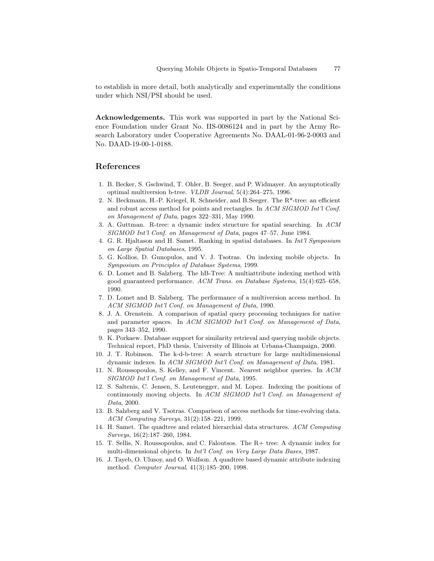<span id="page-18-0"></span>to establish in more detail, both analytically and experimentally the conditions under which NSI/PSI should be used.

**Acknowledgements.** This work was supported in part by the National Science Foundation under Grant No. IIS-0086124 and in part by the Army Research Laboratory under Cooperative Agreements No. DAAL-01-96-2-0003 and No. DAAD-19-00-1-0188.

## **References**

- 1. B. Becker, S. Gschwind, T. Ohler, B. Seeger, and P. Widmayer. An asymptotically optimal multiversion b-tree. VLDB Journal, 5(4):264–275, 1996.
- 2. N. Beckmann, H.-P. Kriegel, R. Schneider, and B.Seeger. The R\*-tree: an efficient and robust access method for points and rectangles. In ACM SIGMOD Int'l Conf. on Management of Data, pages 322–331, May 1990.
- 3. A. Guttman. R-tree: a dynamic index structure for spatial searching. In ACM SIGMOD Int'l Conf. on Management of Data, pages 47–57, June 1984.
- 4. G. R. Hjaltason and H. Samet. Ranking in spatial databases. In Int'l Symposium on Large Spatial Databases, 1995.
- 5. G. Kollios, D. Gunopulos, and V. J. Tsotras. On indexing mobile objects. In Symposium on Principles of Database Systems, 1999.
- 6. D. Lomet and B. Salzberg. The hB-Tree: A multiattribute indexing method with good guaranteed performance. ACM Trans. on Database Systems, 15(4):625–658, 1990.
- 7. D. Lomet and B. Salzberg. The performance of a multiversion access method. In ACM SIGMOD Int'l Conf. on Management of Data, 1990.
- 8. J. A. Orenstein. A comparison of spatial query processing techniques for native and parameter spaces. In ACM SIGMOD Int'l Conf. on Management of Data, pages 343–352, 1990.
- 9. K. Porkaew. Database support for similarity retrieval and querying mobile objects. Technical report, PhD thesis, University of Illinois at Urbana-Champaign, 2000.
- 10. J. T. Robinson. The k-d-b-tree: A search structure for large multidimensional dynamic indexes. In ACM SIGMOD Int'l Conf. on Management of Data, 1981.
- 11. N. Roussopoulos, S. Kelley, and F. Vincent. Nearest neighbor queries. In ACM SIGMOD Int'l Conf. on Management of Data, 1995.
- 12. S. Saltenis, C. Jensen, S. Leutenegger, and M. Lopez. Indexing the positions of continuously moving objects. In ACM SIGMOD Int'l Conf. on Management of Data, 2000.
- 13. B. Salzberg and V. Tsotras. Comparison of access methods for time-evolving data. ACM Computing Surveys, 31(2):158–221, 1999.
- 14. H. Samet. The quadtree and related hierarchial data structures. ACM Computing Surveys, 16(2):187–260, 1984.
- 15. T. Sellis, N. Roussopoulos, and C. Faloutsos. The R+ tree: A dynamic index for multi-dimensional objects. In Int'l Conf. on Very Large Data Bases, 1987.
- 16. J. Tayeb, O. Ulusoy, and O. Wolfson. A quadtree based dynamic attribute indexing method. Computer Journal, 41(3):185–200, 1998.